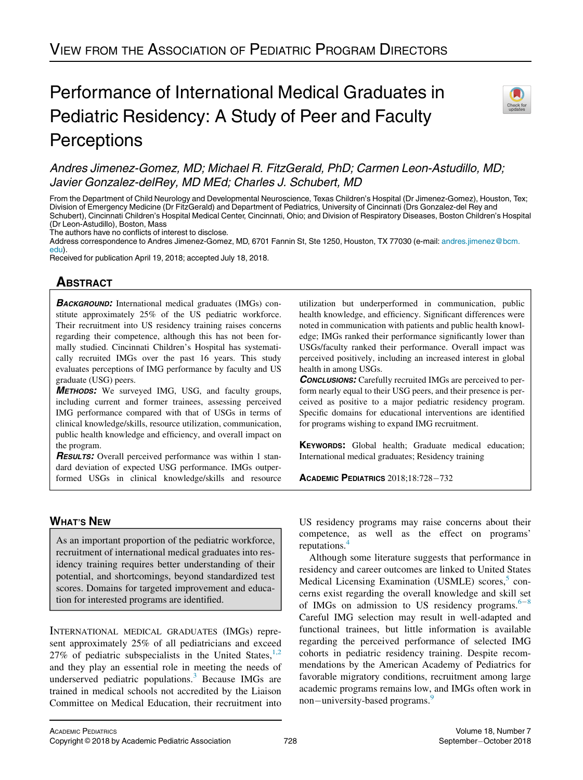# Performance of International Medical Graduates in Pediatric Residency: A Study of Peer and Faculty **Perceptions**



# Andres Jimenez-Gomez, MD; Michael R. FitzGerald, PhD; Carmen Leon-Astudillo, MD; Javier Gonzalez-delRey, MD MEd; Charles J. Schubert, MD

From the Department of Child Neurology and Developmental Neuroscience, Texas Children's Hospital (Dr Jimenez-Gomez), Houston, Tex; Division of Emergency Medicine (Dr FitzGerald) and Department of Pediatrics, University of Cincinnati (Drs Gonzalez-del Rey and Schubert), Cincinnati Children's Hospital Medical Center, Cincinnati, Ohio; and Division of Respiratory Diseases, Boston Children's Hospital (Dr Leon-Astudillo), Boston, Mass

The authors have no conflicts of interest to disclose.

Address correspondence to Andres Jimenez-Gomez, MD, 6701 Fannin St, Ste 1250, Houston, TX 77030 (e-mail: [andres.jimenez@bcm.](<ce:e-address id=) [edu\)](<ce:e-address id=).

Received for publication April 19, 2018; accepted July 18, 2018.

# **ABSTRACT**

**BACKGROUND:** International medical graduates (IMGs) constitute approximately 25% of the US pediatric workforce. Their recruitment into US residency training raises concerns regarding their competence, although this has not been formally studied. Cincinnati Children's Hospital has systematically recruited IMGs over the past 16 years. This study evaluates perceptions of IMG performance by faculty and US graduate (USG) peers.

METHODS: We surveyed IMG, USG, and faculty groups, including current and former trainees, assessing perceived IMG performance compared with that of USGs in terms of clinical knowledge/skills, resource utilization, communication, public health knowledge and efficiency, and overall impact on the program.

**RESULTS:** Overall perceived performance was within 1 standard deviation of expected USG performance. IMGs outperformed USGs in clinical knowledge/skills and resource utilization but underperformed in communication, public health knowledge, and efficiency. Significant differences were noted in communication with patients and public health knowledge; IMGs ranked their performance significantly lower than USGs/faculty ranked their performance. Overall impact was perceived positively, including an increased interest in global health in among USGs.

**CONCLUSIONS:** Carefully recruited IMGs are perceived to perform nearly equal to their USG peers, and their presence is perceived as positive to a major pediatric residency program. Specific domains for educational interventions are identified for programs wishing to expand IMG recruitment.

KEYWORDS: Global health; Graduate medical education; International medical graduates; Residency training

ACADEMIC PEDIATRICS  $2018:18:728-732$ 

# WHAT'S NEW

As an important proportion of the pediatric workforce, recruitment of international medical graduates into residency training requires better understanding of their potential, and shortcomings, beyond standardized test scores. Domains for targeted improvement and education for interested programs are identified.

INTERNATIONAL MEDICAL GRADUATES (IMGs) represent approximately 25% of all pediatricians and exceed 27% of pediatric subspecialists in the United States,  $1,2$ and they play an essential role in meeting the needs of underserved pediatric populations.<sup>[3](#page-4-1)</sup> Because IMGs are trained in medical schools not accredited by the Liaison Committee on Medical Education, their recruitment into

US residency programs may raise concerns about their competence, as well as the effect on programs' reputations.

Although some literature suggests that performance in residency and career outcomes are linked to United States Medical Licensing Examination (USMLE) scores,<sup>[5](#page-4-3)</sup> concerns exist regarding the overall knowledge and skill set of IMGs on admission to US residency programs.  $6-8$  $6-8$  $6-8$ Careful IMG selection may result in well-adapted and functional trainees, but little information is available regarding the perceived performance of selected IMG cohorts in pediatric residency training. Despite recommendations by the American Academy of Pediatrics for favorable migratory conditions, recruitment among large academic programs remains low, and IMGs often work in non—university-based programs.<sup>[9](#page-4-6)</sup>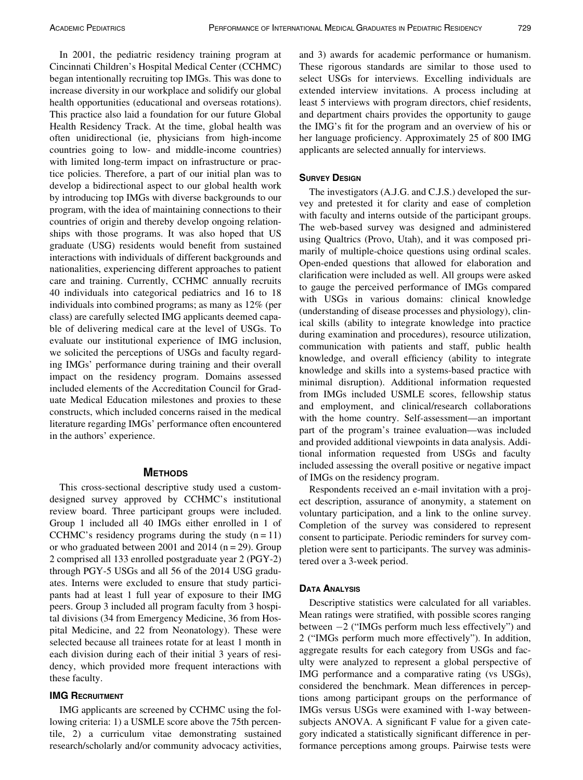In 2001, the pediatric residency training program at Cincinnati Children's Hospital Medical Center (CCHMC) began intentionally recruiting top IMGs. This was done to increase diversity in our workplace and solidify our global health opportunities (educational and overseas rotations). This practice also laid a foundation for our future Global Health Residency Track. At the time, global health was often unidirectional (ie, physicians from high-income countries going to low- and middle-income countries) with limited long-term impact on infrastructure or practice policies. Therefore, a part of our initial plan was to develop a bidirectional aspect to our global health work by introducing top IMGs with diverse backgrounds to our program, with the idea of maintaining connections to their countries of origin and thereby develop ongoing relationships with those programs. It was also hoped that US graduate (USG) residents would benefit from sustained interactions with individuals of different backgrounds and nationalities, experiencing different approaches to patient care and training. Currently, CCHMC annually recruits 40 individuals into categorical pediatrics and 16 to 18 individuals into combined programs; as many as 12% (per class) are carefully selected IMG applicants deemed capable of delivering medical care at the level of USGs. To evaluate our institutional experience of IMG inclusion, we solicited the perceptions of USGs and faculty regarding IMGs' performance during training and their overall impact on the residency program. Domains assessed included elements of the Accreditation Council for Graduate Medical Education milestones and proxies to these constructs, which included concerns raised in the medical literature regarding IMGs' performance often encountered in the authors' experience.

# **METHODS**

This cross-sectional descriptive study used a customdesigned survey approved by CCHMC's institutional review board. Three participant groups were included. Group 1 included all 40 IMGs either enrolled in 1 of CCHMC's residency programs during the study  $(n = 11)$ or who graduated between 2001 and 2014 ( $n = 29$ ). Group 2 comprised all 133 enrolled postgraduate year 2 (PGY-2) through PGY-5 USGs and all 56 of the 2014 USG graduates. Interns were excluded to ensure that study participants had at least 1 full year of exposure to their IMG peers. Group 3 included all program faculty from 3 hospital divisions (34 from Emergency Medicine, 36 from Hospital Medicine, and 22 from Neonatology). These were selected because all trainees rotate for at least 1 month in each division during each of their initial 3 years of residency, which provided more frequent interactions with these faculty.

## IMG RECRUITMENT

IMG applicants are screened by CCHMC using the following criteria: 1) a USMLE score above the 75th percentile, 2) a curriculum vitae demonstrating sustained research/scholarly and/or community advocacy activities,

and 3) awards for academic performance or humanism. These rigorous standards are similar to those used to select USGs for interviews. Excelling individuals are extended interview invitations. A process including at least 5 interviews with program directors, chief residents, and department chairs provides the opportunity to gauge the IMG's fit for the program and an overview of his or her language proficiency. Approximately 25 of 800 IMG applicants are selected annually for interviews.

#### **SURVEY DESIGN**

The investigators (A.J.G. and C.J.S.) developed the survey and pretested it for clarity and ease of completion with faculty and interns outside of the participant groups. The web-based survey was designed and administered using Qualtrics (Provo, Utah), and it was composed primarily of multiple-choice questions using ordinal scales. Open-ended questions that allowed for elaboration and clarification were included as well. All groups were asked to gauge the perceived performance of IMGs compared with USGs in various domains: clinical knowledge (understanding of disease processes and physiology), clinical skills (ability to integrate knowledge into practice during examination and procedures), resource utilization, communication with patients and staff, public health knowledge, and overall efficiency (ability to integrate knowledge and skills into a systems-based practice with minimal disruption). Additional information requested from IMGs included USMLE scores, fellowship status and employment, and clinical/research collaborations with the home country. Self-assessment—an important part of the program's trainee evaluation—was included and provided additional viewpoints in data analysis. Additional information requested from USGs and faculty included assessing the overall positive or negative impact of IMGs on the residency program.

Respondents received an e-mail invitation with a project description, assurance of anonymity, a statement on voluntary participation, and a link to the online survey. Completion of the survey was considered to represent consent to participate. Periodic reminders for survey completion were sent to participants. The survey was administered over a 3-week period.

#### DATA ANALYSIS

Descriptive statistics were calculated for all variables. Mean ratings were stratified, with possible scores ranging between  $-2$  ("IMGs perform much less effectively") and 2 ("IMGs perform much more effectively"). In addition, aggregate results for each category from USGs and faculty were analyzed to represent a global perspective of IMG performance and a comparative rating (vs USGs), considered the benchmark. Mean differences in perceptions among participant groups on the performance of IMGs versus USGs were examined with 1-way betweensubjects ANOVA. A significant F value for a given category indicated a statistically significant difference in performance perceptions among groups. Pairwise tests were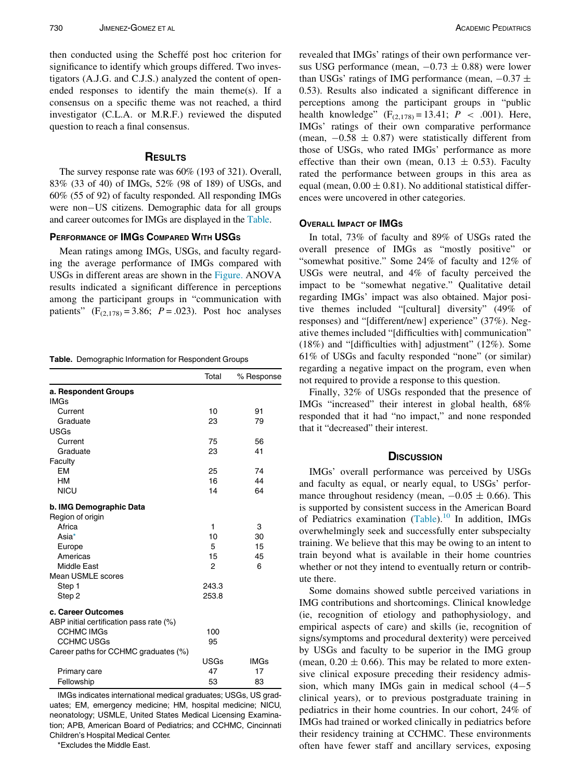then conducted using the Scheffé post hoc criterion for significance to identify which groups differed. Two investigators (A.J.G. and C.J.S.) analyzed the content of openended responses to identify the main theme(s). If a consensus on a specific theme was not reached, a third investigator (C.L.A. or M.R.F.) reviewed the disputed question to reach a final consensus.

# **RESULTS**

The survey response rate was 60% (193 of 321). Overall, 83% (33 of 40) of IMGs, 52% (98 of 189) of USGs, and 60% (55 of 92) of faculty responded. All responding IMGs were non-US citizens. Demographic data for all groups and career outcomes for IMGs are displayed in the [Table](#page-2-0).

#### PERFORMANCE OF IMGS COMPARED WITH USGS

Mean ratings among IMGs, USGs, and faculty regarding the average performance of IMGs compared with USGs in different areas are shown in the [Figure.](#page-3-0) ANOVA results indicated a significant difference in perceptions among the participant groups in "communication with patients"  $(F_{(2,178)} = 3.86; P = .023)$ . Post hoc analyses

<span id="page-2-0"></span>Table. Demographic Information for Respondent Groups

|                                         | Total | % Response  |
|-----------------------------------------|-------|-------------|
| a. Respondent Groups                    |       |             |
| <b>IMGs</b>                             |       |             |
| Current                                 | 10    | 91          |
| Graduate                                | 23    | 79          |
| <b>USGs</b>                             |       |             |
| Current                                 | 75    | 56          |
| Graduate                                | 23    | 41          |
| Faculty                                 |       |             |
| <b>EM</b>                               | 25    | 74          |
| <b>HM</b>                               | 16    | 44          |
| <b>NICU</b>                             | 14    | 64          |
| b. IMG Demographic Data                 |       |             |
| Region of origin                        |       |             |
| Africa                                  | 1     | 3           |
| Asia*                                   | 10    | 30          |
| Europe                                  | 5     | 15          |
| Americas                                | 15    | 45          |
| <b>Middle East</b>                      | 2     | 6           |
| <b>Mean USMLE scores</b>                |       |             |
| Step 1                                  | 243.3 |             |
| Step 2                                  | 253.8 |             |
| c. Career Outcomes                      |       |             |
| ABP initial certification pass rate (%) |       |             |
| <b>CCHMC IMGs</b>                       | 100   |             |
| <b>CCHMC USGs</b>                       | 95    |             |
| Career paths for CCHMC graduates (%)    |       |             |
|                                         | USGs  | <b>IMGs</b> |
| Primary care                            | 47    | 17          |
| Fellowship                              | 53    | 83          |

IMGs indicates international medical graduates; USGs, US graduates; EM, emergency medicine; HM, hospital medicine; NICU, neonatology; USMLE, United States Medical Licensing Examination; APB, American Board of Pediatrics; and CCHMC, Cincinnati Children's Hospital Medical Center.

\*Excludes the Middle East.

revealed that IMGs' ratings of their own performance versus USG performance (mean,  $-0.73 \pm 0.88$ ) were lower than USGs' ratings of IMG performance (mean,  $-0.37 \pm 0.37$ 0.53). Results also indicated a significant difference in perceptions among the participant groups in "public health knowledge"  $(F_{(2,178)} = 13.41; P < .001)$ . Here, IMGs' ratings of their own comparative performance (mean,  $-0.58 \pm 0.87$ ) were statistically different from those of USGs, who rated IMGs' performance as more effective than their own (mean,  $0.13 \pm 0.53$ ). Faculty rated the performance between groups in this area as equal (mean,  $0.00 \pm 0.81$ ). No additional statistical differences were uncovered in other categories.

# OVERALL IMPACT OF IMGS

In total, 73% of faculty and 89% of USGs rated the overall presence of IMGs as "mostly positive" or "somewhat positive." Some 24% of faculty and 12% of USGs were neutral, and 4% of faculty perceived the impact to be "somewhat negative." Qualitative detail regarding IMGs' impact was also obtained. Major positive themes included "[cultural] diversity" (49% of responses) and "[different/new] experience" (37%). Negative themes included "[difficulties with] communication" (18%) and "[difficulties with] adjustment" (12%). Some 61% of USGs and faculty responded "none" (or similar) regarding a negative impact on the program, even when not required to provide a response to this question.

Finally, 32% of USGs responded that the presence of IMGs "increased" their interest in global health, 68% responded that it had "no impact," and none responded that it "decreased" their interest.

## **DISCUSSION**

IMGs' overall performance was perceived by USGs and faculty as equal, or nearly equal, to USGs' performance throughout residency (mean,  $-0.05 \pm 0.66$ ). This is supported by consistent success in the American Board of Pediatrics examination  $(Table)$  $(Table)$  $(Table)$ .<sup>[10](#page-4-7)</sup> In addition, IMGs overwhelmingly seek and successfully enter subspecialty training. We believe that this may be owing to an intent to train beyond what is available in their home countries whether or not they intend to eventually return or contribute there.

Some domains showed subtle perceived variations in IMG contributions and shortcomings. Clinical knowledge (ie, recognition of etiology and pathophysiology, and empirical aspects of care) and skills (ie, recognition of signs/symptoms and procedural dexterity) were perceived by USGs and faculty to be superior in the IMG group (mean,  $0.20 \pm 0.66$ ). This may be related to more extensive clinical exposure preceding their residency admission, which many IMGs gain in medical school  $(4-5)$ clinical years), or to previous postgraduate training in pediatrics in their home countries. In our cohort, 24% of IMGs had trained or worked clinically in pediatrics before their residency training at CCHMC. These environments often have fewer staff and ancillary services, exposing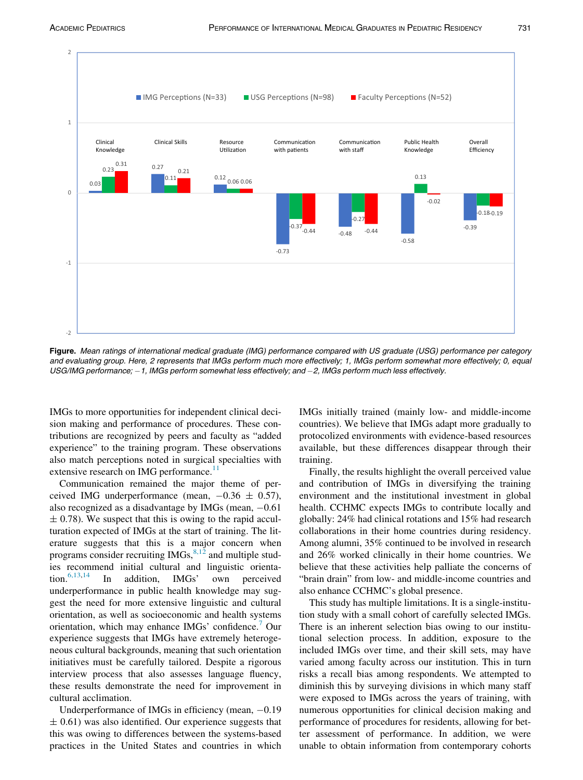<span id="page-3-0"></span>

Figure. Mean ratings of international medical graduate (IMG) performance compared with US graduate (USG) performance per category and evaluating group. Here, 2 represents that IMGs perform much more effectively; 1, IMGs perform somewhat more effectively; 0, equal USG/IMG performance; -1, IMGs perform somewhat less effectively; and -2, IMGs perform much less effectively.

IMGs to more opportunities for independent clinical decision making and performance of procedures. These contributions are recognized by peers and faculty as "added experience" to the training program. These observations also match perceptions noted in surgical specialties with extensive research on IMG performance.<sup>[11](#page-4-8)</sup>

Communication remained the major theme of perceived IMG underperformance (mean,  $-0.36 \pm 0.57$ ), also recognized as a disadvantage by IMGs (mean,  $-0.61$ )  $\pm$  0.78). We suspect that this is owing to the rapid acculturation expected of IMGs at the start of training. The literature suggests that this is a major concern when programs consider recruiting IMGs,  $8,12$  and multiple studies recommend initial cultural and linguistic orientation.[6,13](#page-4-4),[14](#page-4-9) In addition, IMGs' own perceived underperformance in public health knowledge may suggest the need for more extensive linguistic and cultural orientation, as well as socioeconomic and health systems orientation, which may enhance IMGs' confidence.<sup>[7](#page-4-10)</sup> Our experience suggests that IMGs have extremely heterogeneous cultural backgrounds, meaning that such orientation initiatives must be carefully tailored. Despite a rigorous interview process that also assesses language fluency, these results demonstrate the need for improvement in cultural acclimation.

Underperformance of IMGs in efficiency (mean,  $-0.19$ )  $\pm$  0.61) was also identified. Our experience suggests that this was owing to differences between the systems-based practices in the United States and countries in which IMGs initially trained (mainly low- and middle-income countries). We believe that IMGs adapt more gradually to protocolized environments with evidence-based resources available, but these differences disappear through their training.

Finally, the results highlight the overall perceived value and contribution of IMGs in diversifying the training environment and the institutional investment in global health. CCHMC expects IMGs to contribute locally and globally: 24% had clinical rotations and 15% had research collaborations in their home countries during residency. Among alumni, 35% continued to be involved in research and 26% worked clinically in their home countries. We believe that these activities help palliate the concerns of "brain drain" from low- and middle-income countries and also enhance CCHMC's global presence.

This study has multiple limitations. It is a single-institution study with a small cohort of carefully selected IMGs. There is an inherent selection bias owing to our institutional selection process. In addition, exposure to the included IMGs over time, and their skill sets, may have varied among faculty across our institution. This in turn risks a recall bias among respondents. We attempted to diminish this by surveying divisions in which many staff were exposed to IMGs across the years of training, with numerous opportunities for clinical decision making and performance of procedures for residents, allowing for better assessment of performance. In addition, we were unable to obtain information from contemporary cohorts